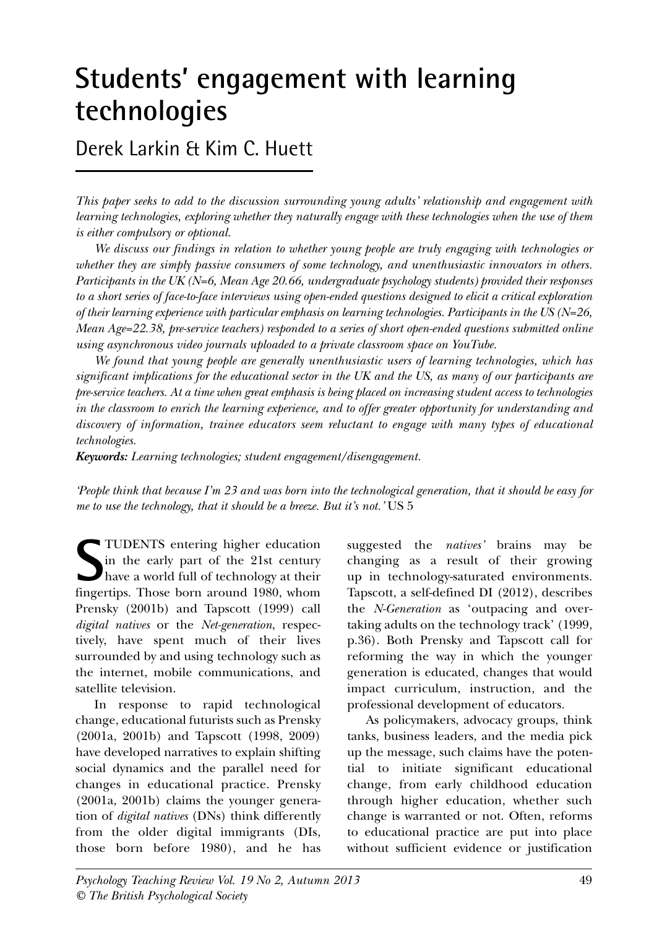# **Students' engagement with learning technologies**

# Derek Larkin & Kim C. Huett

*This paper seeks to add to the discussion surrounding young adults' relationship and engagement with learning technologies, exploring whether they naturally engage with these technologies when the use of them is either compulsory or optional.*

*We discuss our findings in relation to whether young people are truly engaging with technologies or whether they are simply passive consumers of some technology, and unenthusiastic innovators in others. Participants in the UK (N=6, Mean Age 20.66, undergraduate psychology students) provided their responses* to a short series of face-to-face interviews using open-ended questions designed to elicit a critical exploration *of their learning experience with particular emphasis on learning technologies. Participants in the US (N=26, Mean Age=22.38, pre-service teachers) responded to a series of short open-ended questions submitted online using asynchronous video journals uploaded to a private classroom space on YouTube.*

*We found that young people are generally unenthusiastic users of learning technologies, which has* significant implications for the educational sector in the UK and the US, as many of our participants are pre-service teachers. At a time when great emphasis is being placed on increasing student access to technologies *in the classroom to enrich the learning experience, and to offer greater opportunity for understanding and discovery of information, trainee educators seem reluctant to engage with many types of educational technologies.*

*Keywords: Learning technologies; student engagement/disengagement.*

People think that because I'm 23 and was born into the technological generation, that it should be easy for *me to use the technology, that it should be a breeze. But it's not.'* US 5

**S** TUDENTS entering higher education in the early part of the 21st century have a world full of technology at their fingertips. Those born around 1980, whom Prensky (2001b) and Tapscott (1999) call *digital natives* or the *Net-generation*, respectively, have spent much of their lives surrounded by and using technology such as the internet, mobile communications, and satellite television.

In response to rapid technological change, educational futurists such as Prensky (2001a, 2001b) and Tapscott (1998, 2009) have developed narratives to explain shifting social dynamics and the parallel need for changes in educational practice. Prensky (2001a, 2001b) claims the younger generation of *digital natives* (DNs) think differently from the older digital immigrants (DIs, those born before 1980), and he has suggested the *natives'* brains may be changing as a result of their growing up in technology-saturated environments. Tapscott, a self-defined DI (2012), describes the *N-Generation* as 'outpacing and overtaking adults on the technology track' (1999, p.36). Both Prensky and Tapscott call for reforming the way in which the younger generation is educated, changes that would impact curriculum, instruction, and the professional development of educators.

As policymakers, advocacy groups, think tanks, business leaders, and the media pick up the message, such claims have the potential to initiate significant educational change, from early childhood education through higher education, whether such change is warranted or not. Often, reforms to educational practice are put into place without sufficient evidence or justification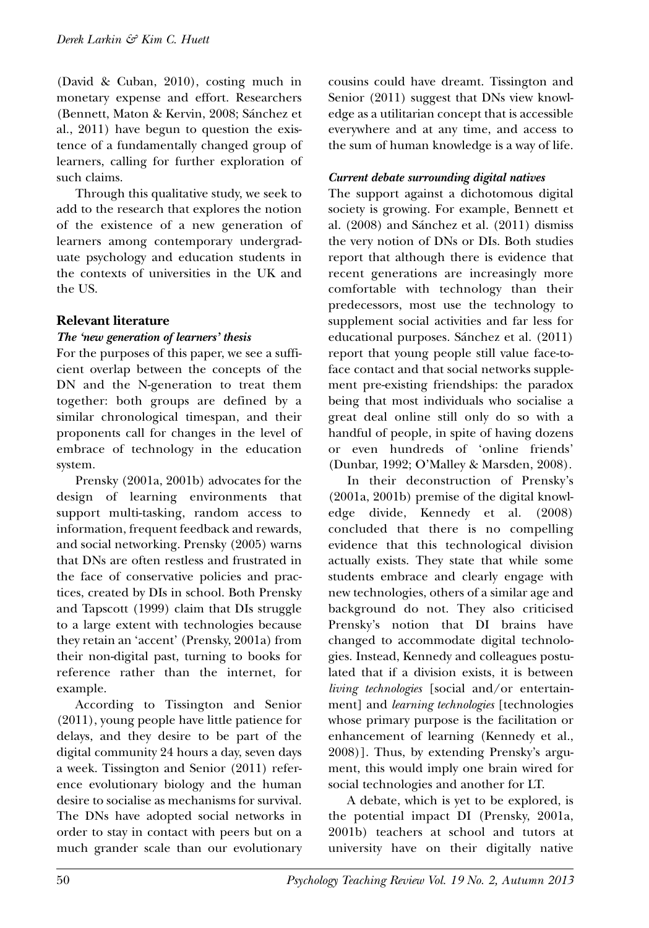(David & Cuban, 2010), costing much in monetary expense and effort. Researchers (Bennett, Maton & Kervin, 2008; Sánchez et al., 2011) have begun to question the existence of a fundamentally changed group of learners, calling for further exploration of such claims.

Through this qualitative study, we seek to add to the research that explores the notion of the existence of a new generation of learners among contemporary undergraduate psychology and education students in the contexts of universities in the UK and the US.

# **Relevant literature**

# *The 'new generation of learners' thesis*

For the purposes of this paper, we see a sufficient overlap between the concepts of the DN and the N-generation to treat them together: both groups are defined by a similar chronological timespan, and their proponents call for changes in the level of embrace of technology in the education system.

Prensky (2001a, 2001b) advocates for the design of learning environments that support multi-tasking, random access to information, frequent feedback and rewards, and social networking. Prensky (2005) warns that DNs are often restless and frustrated in the face of conservative policies and practices, created by DIs in school. Both Prensky and Tapscott (1999) claim that DIs struggle to a large extent with technologies because they retain an 'accent' (Prensky, 2001a) from their non-digital past, turning to books for reference rather than the internet, for example.

According to Tissington and Senior (2011), young people have little patience for delays, and they desire to be part of the digital community 24 hours a day, seven days a week. Tissington and Senior (2011) reference evolutionary biology and the human desire to socialise as mechanisms for survival. The DNs have adopted social networks in order to stay in contact with peers but on a much grander scale than our evolutionary cousins could have dreamt. Tissington and Senior (2011) suggest that DNs view knowledge as a utilitarian concept that is accessible everywhere and at any time, and access to the sum of human knowledge is a way of life.

## *Current debate surrounding digital natives*

The support against a dichotomous digital society is growing. For example, Bennett et al. (2008) and Sánchez et al. (2011) dismiss the very notion of DNs or DIs. Both studies report that although there is evidence that recent generations are increasingly more comfortable with technology than their predecessors, most use the technology to supplement social activities and far less for educational purposes. Sánchez et al. (2011) report that young people still value face-toface contact and that social networks supplement pre-existing friendships: the paradox being that most individuals who socialise a great deal online still only do so with a handful of people, in spite of having dozens or even hundreds of 'online friends' (Dunbar, 1992; O'Malley & Marsden, 2008).

In their deconstruction of Prensky's (2001a, 2001b) premise of the digital knowledge divide, Kennedy et al. (2008) concluded that there is no compelling evidence that this technological division actually exists. They state that while some students embrace and clearly engage with new technologies, others of a similar age and background do not. They also criticised Prensky's notion that DI brains have changed to accommodate digital technologies. Instead, Kennedy and colleagues postulated that if a division exists, it is between *living technologies* [social and/or entertainment] and *learning technologies* [technologies whose primary purpose is the facilitation or enhancement of learning (Kennedy et al., 2008)]. Thus, by extending Prensky's argument, this would imply one brain wired for social technologies and another for LT.

A debate, which is yet to be explored, is the potential impact DI (Prensky, 2001a, 2001b) teachers at school and tutors at university have on their digitally native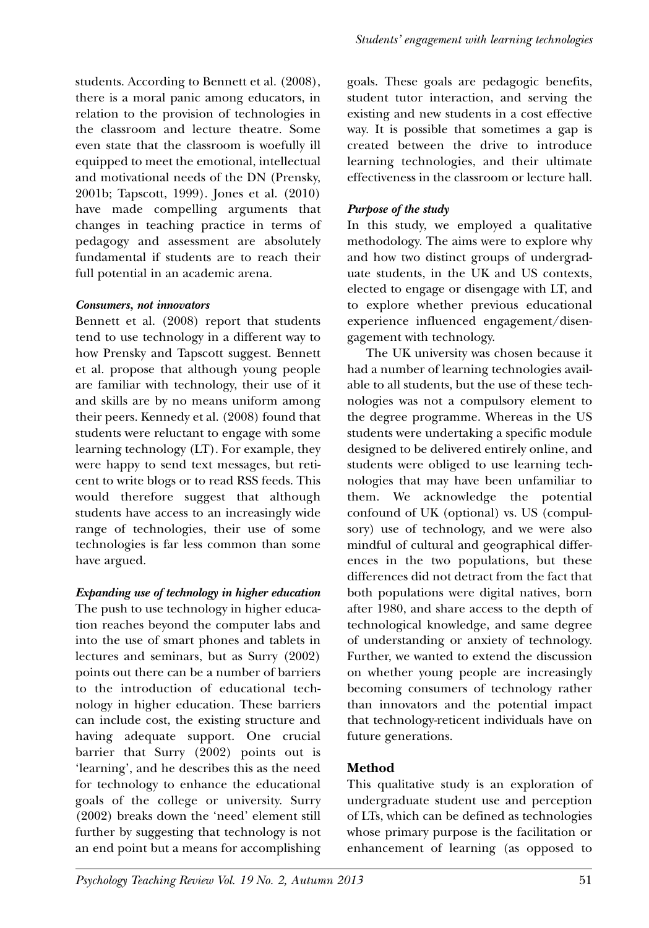students. According to Bennett et al. (2008), there is a moral panic among educators, in relation to the provision of technologies in the classroom and lecture theatre. Some even state that the classroom is woefully ill equipped to meet the emotional, intellectual and motivational needs of the DN (Prensky, 2001b; Tapscott, 1999). Jones et al. (2010) have made compelling arguments that changes in teaching practice in terms of pedagogy and assessment are absolutely fundamental if students are to reach their full potential in an academic arena.

#### *Consumers, not innovators*

Bennett et al. (2008) report that students tend to use technology in a different way to how Prensky and Tapscott suggest. Bennett et al. propose that although young people are familiar with technology, their use of it and skills are by no means uniform among their peers. Kennedy et al. (2008) found that students were reluctant to engage with some learning technology (LT). For example, they were happy to send text messages, but reticent to write blogs or to read RSS feeds. This would therefore suggest that although students have access to an increasingly wide range of technologies, their use of some technologies is far less common than some have argued.

#### *Expanding use of technology in higher education*

The push to use technology in higher education reaches beyond the computer labs and into the use of smart phones and tablets in lectures and seminars, but as Surry (2002) points out there can be a number of barriers to the introduction of educational technology in higher education. These barriers can include cost, the existing structure and having adequate support. One crucial barrier that Surry (2002) points out is 'learning', and he describes this as the need for technology to enhance the educational goals of the college or university. Surry (2002) breaks down the 'need' element still further by suggesting that technology is not an end point but a means for accomplishing

goals. These goals are pedagogic benefits, student tutor interaction, and serving the existing and new students in a cost effective way. It is possible that sometimes a gap is created between the drive to introduce learning technologies, and their ultimate effectiveness in the classroom or lecture hall.

#### *Purpose of the study*

In this study, we employed a qualitative methodology. The aims were to explore why and how two distinct groups of undergraduate students, in the UK and US contexts, elected to engage or disengage with LT, and to explore whether previous educational experience influenced engagement/disengagement with technology.

The UK university was chosen because it had a number of learning technologies available to all students, but the use of these technologies was not a compulsory element to the degree programme. Whereas in the US students were undertaking a specific module designed to be delivered entirely online, and students were obliged to use learning technologies that may have been unfamiliar to them. We acknowledge the potential confound of UK (optional) vs. US (compulsory) use of technology, and we were also mindful of cultural and geographical differences in the two populations, but these differences did not detract from the fact that both populations were digital natives, born after 1980, and share access to the depth of technological knowledge, and same degree of understanding or anxiety of technology. Further, we wanted to extend the discussion on whether young people are increasingly becoming consumers of technology rather than innovators and the potential impact that technology-reticent individuals have on future generations.

# **Method**

This qualitative study is an exploration of undergraduate student use and perception of LTs, which can be defined as technologies whose primary purpose is the facilitation or enhancement of learning (as opposed to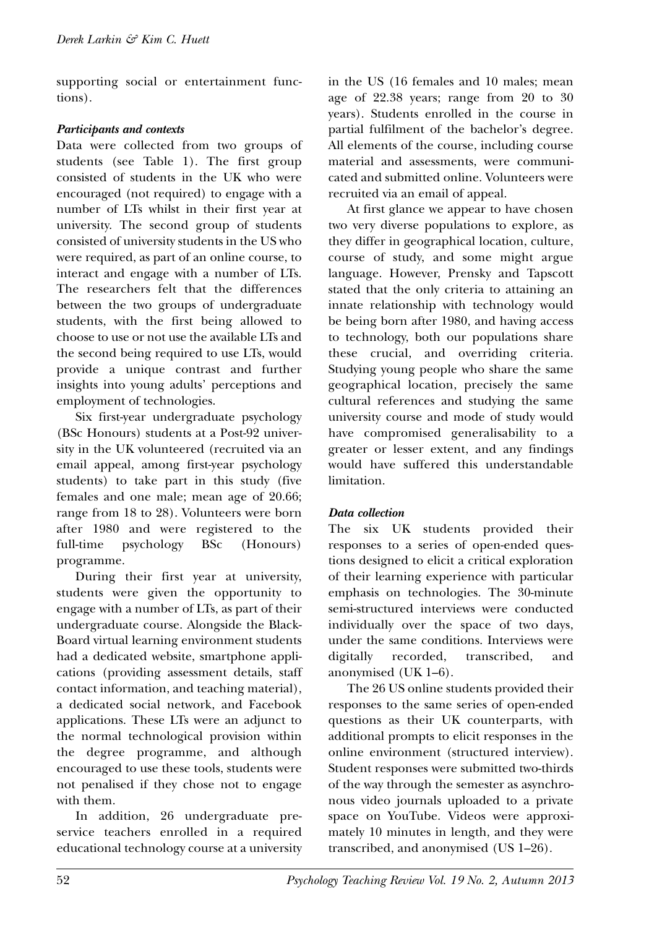supporting social or entertainment functions).

## *Participants and contexts*

Data were collected from two groups of students (see Table 1). The first group consisted of students in the UK who were encouraged (not required) to engage with a number of LTs whilst in their first year at university. The second group of students consisted of university students in the US who were required, as part of an online course, to interact and engage with a number of LTs. The researchers felt that the differences between the two groups of undergraduate students, with the first being allowed to choose to use or not use the available LTs and the second being required to use LTs, would provide a unique contrast and further insights into young adults' perceptions and employment of technologies.

Six first-year undergraduate psychology (BSc Honours) students at a Post-92 university in the UK volunteered (recruited via an email appeal, among first-year psychology students) to take part in this study (five females and one male; mean age of 20.66; range from 18 to 28). Volunteers were born after 1980 and were registered to the full-time psychology BSc (Honours) programme.

During their first year at university, students were given the opportunity to engage with a number of LTs, as part of their undergraduate course. Alongside the Black-Board virtual learning environment students had a dedicated website, smartphone applications (providing assessment details, staff contact information, and teaching material), a dedicated social network, and Facebook applications. These LTs were an adjunct to the normal technological provision within the degree programme, and although encouraged to use these tools, students were not penalised if they chose not to engage with them.

In addition, 26 undergraduate preservice teachers enrolled in a required educational technology course at a university in the US (16 females and 10 males; mean age of 22.38 years; range from 20 to 30 years). Students enrolled in the course in partial fulfilment of the bachelor's degree. All elements of the course, including course material and assessments, were communicated and submitted online. Volunteers were recruited via an email of appeal.

At first glance we appear to have chosen two very diverse populations to explore, as they differ in geographical location, culture, course of study, and some might argue language. However, Prensky and Tapscott stated that the only criteria to attaining an innate relationship with technology would be being born after 1980, and having access to technology, both our populations share these crucial, and overriding criteria. Studying young people who share the same geographical location, precisely the same cultural references and studying the same university course and mode of study would have compromised generalisability to a greater or lesser extent, and any findings would have suffered this understandable limitation.

# *Data collection*

The six UK students provided their responses to a series of open-ended questions designed to elicit a critical exploration of their learning experience with particular emphasis on technologies. The 30-minute semi-structured interviews were conducted individually over the space of two days, under the same conditions. Interviews were digitally recorded, transcribed, and anonymised (UK 1–6).

The 26 US online students provided their responses to the same series of open-ended questions as their UK counterparts, with additional prompts to elicit responses in the online environment (structured interview). Student responses were submitted two-thirds of the way through the semester as asynchronous video journals uploaded to a private space on YouTube. Videos were approximately 10 minutes in length, and they were transcribed, and anonymised (US 1–26).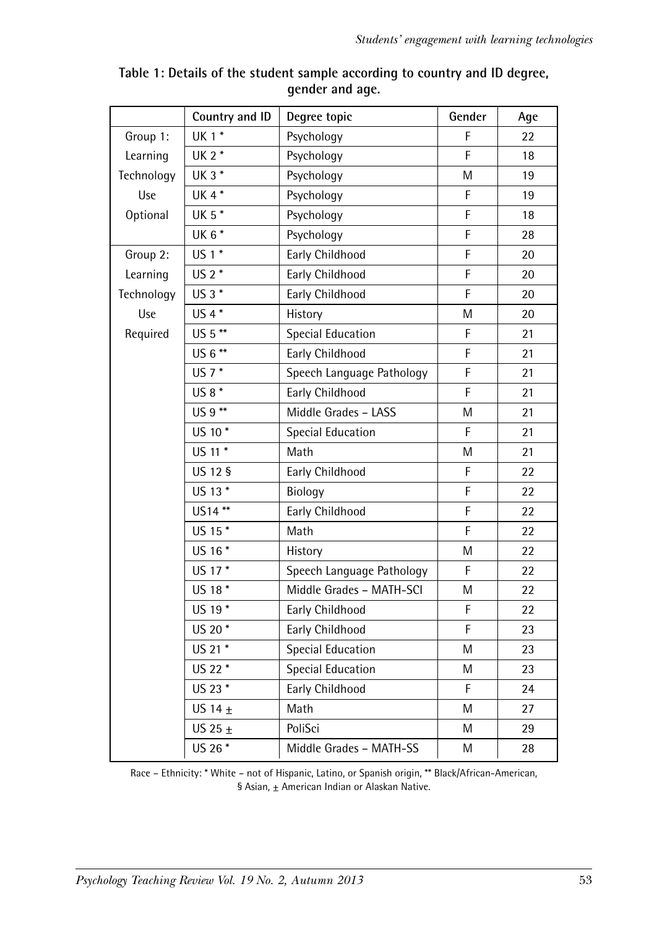|            | Country and ID | Degree topic              | Gender | Age |
|------------|----------------|---------------------------|--------|-----|
| Group 1:   | UK 1 *         | Psychology                | F      | 22  |
| Learning   | UK 2 *         | Psychology                | F      | 18  |
| Technology | UK 3 *         | Psychology                | M      | 19  |
| Use        | UK 4 *         | Psychology                | F      | 19  |
| Optional   | UK 5 *         | Psychology                | F      | 18  |
|            | UK 6 *         | Psychology                | F      | 28  |
| Group 2:   | US 1 *         | Early Childhood           | F      | 20  |
| Learning   | US 2 *         | Early Childhood           | F      | 20  |
| Technology | US 3 *         | Early Childhood           | F      | 20  |
| Use        | US 4 *         | History                   | M      | 20  |
| Required   | US 5 **        | <b>Special Education</b>  | F      | 21  |
|            | US 6 **        | Early Childhood           | F      | 21  |
|            | US 7 *         | Speech Language Pathology | F      | 21  |
|            | US 8 *         | Early Childhood           | F      | 21  |
|            | US 9 **        | Middle Grades - LASS      | M      | 21  |
|            | US 10 *        | <b>Special Education</b>  | F      | 21  |
|            | US 11 *        | Math                      | M      | 21  |
|            | US 12 §        | Early Childhood           | F      | 22  |
|            | US 13 *        | Biology                   | F      | 22  |
|            | US14 **        | Early Childhood           | F      | 22  |
|            | US 15 *        | Math                      | F      | 22  |
|            | US 16 *        | History                   | M      | 22  |
|            | US 17 *        | Speech Language Pathology | F      | 22  |
|            | US 18 *        | Middle Grades - MATH-SCI  | M      | 22  |
|            | US 19 *        | Early Childhood           | F      | 22  |
|            | US 20 *        | Early Childhood           | F      | 23  |
|            | US 21 *        | <b>Special Education</b>  | M      | 23  |
|            | US 22 *        | <b>Special Education</b>  | M      | 23  |
|            | US 23 *        | Early Childhood           | F      | 24  |
|            | US 14 $\pm$    | Math                      | M      | 27  |
|            | US 25 $\pm$    | PoliSci                   | M      | 29  |
|            | US 26 *        | Middle Grades - MATH-SS   | M      | 28  |

# **Table 1: Details of the student sample according to country and ID degree, gender and age.**

Race – Ethnicity: \* White – not of Hispanic, Latino, or Spanish origin, \*\* Black/African-American, § Asian, ± American Indian or Alaskan Native.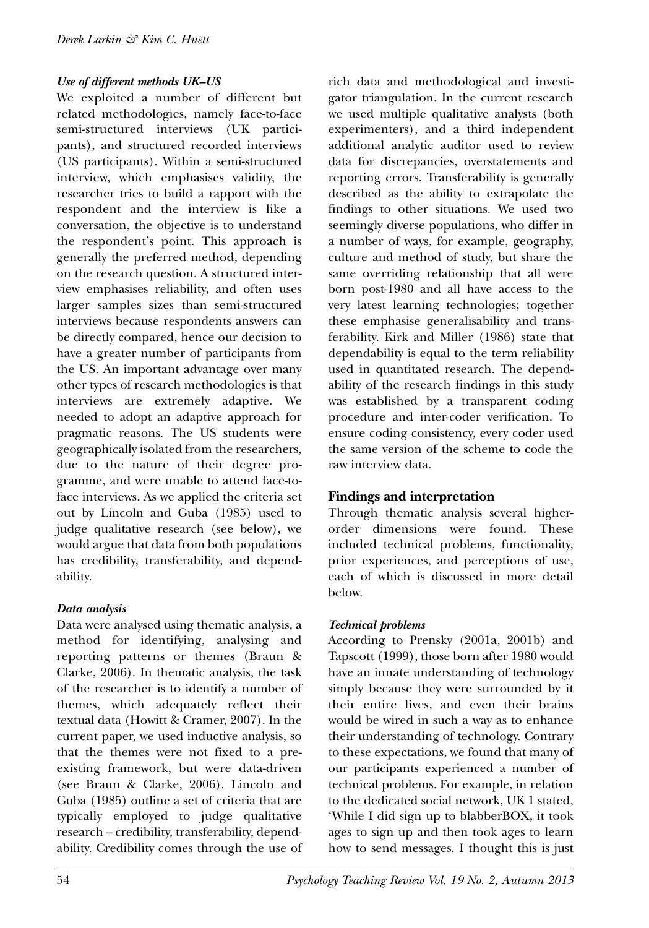#### *Use of different methods UK–US*

We exploited a number of different but related methodologies, namely face-to-face semi-structured interviews (UK participants), and structured recorded interviews (US participants). Within a semi-structured interview, which emphasises validity, the researcher tries to build a rapport with the respondent and the interview is like a conversation, the objective is to understand the respondent's point. This approach is generally the preferred method, depending on the research question. A structured interview emphasises reliability, and often uses larger samples sizes than semi-structured interviews because respondents answers can be directly compared, hence our decision to have a greater number of participants from the US. An important advantage over many other types of research methodologies is that interviews are extremely adaptive. We needed to adopt an adaptive approach for pragmatic reasons. The US students were geographically isolated from the researchers, due to the nature of their degree programme, and were unable to attend face-toface interviews. As we applied the criteria set out by Lincoln and Guba (1985) used to judge qualitative research (see below), we would argue that data from both populations has credibility, transferability, and dependability.

#### *Data analysis*

Data were analysed using thematic analysis, a method for identifying, analysing and reporting patterns or themes (Braun & Clarke, 2006). In thematic analysis, the task of the researcher is to identify a number of themes, which adequately reflect their textual data (Howitt & Cramer, 2007). In the current paper, we used inductive analysis, so that the themes were not fixed to a preexisting framework, but were data-driven (see Braun & Clarke, 2006). Lincoln and Guba (1985) outline a set of criteria that are typically employed to judge qualitative research – credibility, transferability, dependability. Credibility comes through the use of rich data and methodological and investigator triangulation. In the current research we used multiple qualitative analysts (both experimenters), and a third independent additional analytic auditor used to review data for discrepancies, overstatements and reporting errors. Transferability is generally described as the ability to extrapolate the findings to other situations. We used two seemingly diverse populations, who differ in a number of ways, for example, geography, culture and method of study, but share the same overriding relationship that all were born post-1980 and all have access to the very latest learning technologies; together these emphasise generalisability and transferability. Kirk and Miller (1986) state that dependability is equal to the term reliability used in quantitated research. The dependability of the research findings in this study was established by a transparent coding procedure and inter-coder verification. To ensure coding consistency, every coder used the same version of the scheme to code the raw interview data.

# **Findings and interpretation**

Through thematic analysis several higherorder dimensions were found. These included technical problems, functionality, prior experiences, and perceptions of use, each of which is discussed in more detail below.

#### *Technical problems*

According to Prensky (2001a, 2001b) and Tapscott (1999), those born after 1980 would have an innate understanding of technology simply because they were surrounded by it their entire lives, and even their brains would be wired in such a way as to enhance their understanding of technology. Contrary to these expectations, we found that many of our participants experienced a number of technical problems. For example, in relation to the dedicated social network, UK 1 stated, 'While I did sign up to blabberBOX, it took ages to sign up and then took ages to learn how to send messages. I thought this is just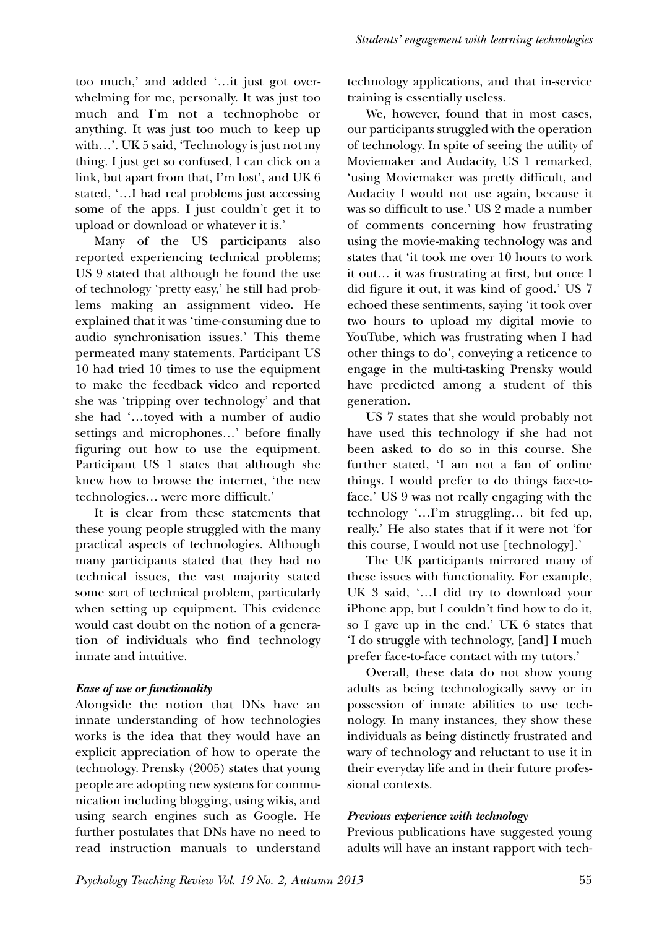too much,' and added '…it just got overwhelming for me, personally. It was just too much and I'm not a technophobe or anything. It was just too much to keep up with…'. UK 5 said, 'Technology is just not my thing. I just get so confused, I can click on a link, but apart from that, I'm lost', and UK 6 stated, '…I had real problems just accessing some of the apps. I just couldn't get it to upload or download or whatever it is.'

Many of the US participants also reported experiencing technical problems; US 9 stated that although he found the use of technology 'pretty easy,' he still had problems making an assignment video. He explained that it was 'time-consuming due to audio synchronisation issues.' This theme permeated many statements. Participant US 10 had tried 10 times to use the equipment to make the feedback video and reported she was 'tripping over technology' and that she had '…toyed with a number of audio settings and microphones…' before finally figuring out how to use the equipment. Participant US 1 states that although she knew how to browse the internet, 'the new technologies… were more difficult.'

It is clear from these statements that these young people struggled with the many practical aspects of technologies. Although many participants stated that they had no technical issues, the vast majority stated some sort of technical problem, particularly when setting up equipment. This evidence would cast doubt on the notion of a generation of individuals who find technology innate and intuitive.

# *Ease of use or functionality*

Alongside the notion that DNs have an innate understanding of how technologies works is the idea that they would have an explicit appreciation of how to operate the technology. Prensky (2005) states that young people are adopting new systems for communication including blogging, using wikis, and using search engines such as Google. He further postulates that DNs have no need to read instruction manuals to understand technology applications, and that in-service training is essentially useless.

We, however, found that in most cases, our participants struggled with the operation of technology. In spite of seeing the utility of Moviemaker and Audacity, US 1 remarked, 'using Moviemaker was pretty difficult, and Audacity I would not use again, because it was so difficult to use.' US 2 made a number of comments concerning how frustrating using the movie-making technology was and states that 'it took me over 10 hours to work it out… it was frustrating at first, but once I did figure it out, it was kind of good.' US 7 echoed these sentiments, saying 'it took over two hours to upload my digital movie to YouTube, which was frustrating when I had other things to do', conveying a reticence to engage in the multi-tasking Prensky would have predicted among a student of this generation.

US 7 states that she would probably not have used this technology if she had not been asked to do so in this course. She further stated, 'I am not a fan of online things. I would prefer to do things face-toface.' US 9 was not really engaging with the technology '…I'm struggling… bit fed up, really.' He also states that if it were not 'for this course, I would not use [technology].'

The UK participants mirrored many of these issues with functionality. For example, UK 3 said, '…I did try to download your iPhone app, but I couldn't find how to do it, so I gave up in the end.' UK 6 states that 'I do struggle with technology, [and] I much prefer face-to-face contact with my tutors.'

Overall, these data do not show young adults as being technologically savvy or in possession of innate abilities to use technology. In many instances, they show these individuals as being distinctly frustrated and wary of technology and reluctant to use it in their everyday life and in their future professional contexts.

# *Previous experience with technology*

Previous publications have suggested young adults will have an instant rapport with tech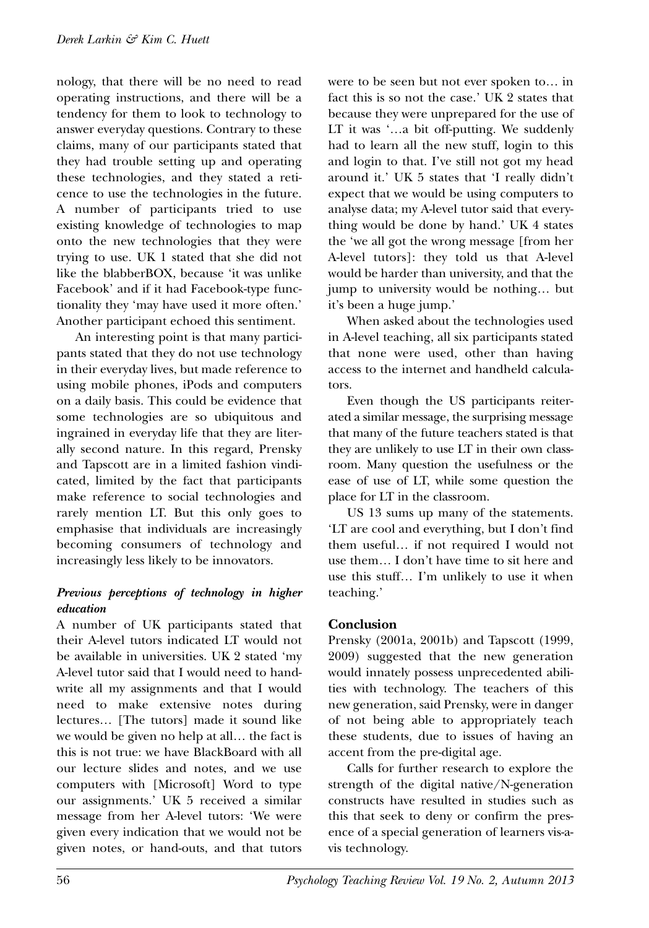nology, that there will be no need to read operating instructions, and there will be a tendency for them to look to technology to answer everyday questions. Contrary to these claims, many of our participants stated that they had trouble setting up and operating these technologies, and they stated a reticence to use the technologies in the future. A number of participants tried to use existing knowledge of technologies to map onto the new technologies that they were trying to use. UK 1 stated that she did not like the blabberBOX, because 'it was unlike Facebook' and if it had Facebook-type functionality they 'may have used it more often.' Another participant echoed this sentiment.

An interesting point is that many participants stated that they do not use technology in their everyday lives, but made reference to using mobile phones, iPods and computers on a daily basis. This could be evidence that some technologies are so ubiquitous and ingrained in everyday life that they are literally second nature. In this regard, Prensky and Tapscott are in a limited fashion vindicated, limited by the fact that participants make reference to social technologies and rarely mention LT. But this only goes to emphasise that individuals are increasingly becoming consumers of technology and increasingly less likely to be innovators.

# *Previous perceptions of technology in higher education*

A number of UK participants stated that their A-level tutors indicated LT would not be available in universities. UK 2 stated 'my A-level tutor said that I would need to handwrite all my assignments and that I would need to make extensive notes during lectures… [The tutors] made it sound like we would be given no help at all… the fact is this is not true: we have BlackBoard with all our lecture slides and notes, and we use computers with [Microsoft] Word to type our assignments.' UK 5 received a similar message from her A-level tutors: 'We were given every indication that we would not be given notes, or hand-outs, and that tutors were to be seen but not ever spoken to… in fact this is so not the case.' UK 2 states that because they were unprepared for the use of LT it was '…a bit off-putting. We suddenly had to learn all the new stuff, login to this and login to that. I've still not got my head around it.' UK 5 states that 'I really didn't expect that we would be using computers to analyse data; my A-level tutor said that everything would be done by hand.' UK 4 states the 'we all got the wrong message [from her A-level tutors]: they told us that A-level would be harder than university, and that the jump to university would be nothing… but it's been a huge jump.'

When asked about the technologies used in A-level teaching, all six participants stated that none were used, other than having access to the internet and handheld calculators.

Even though the US participants reiterated a similar message, the surprising message that many of the future teachers stated is that they are unlikely to use LT in their own classroom. Many question the usefulness or the ease of use of LT, while some question the place for LT in the classroom.

US 13 sums up many of the statements. 'LT are cool and everything, but I don't find them useful… if not required I would not use them… I don't have time to sit here and use this stuff… I'm unlikely to use it when teaching.'

# **Conclusion**

Prensky (2001a, 2001b) and Tapscott (1999, 2009) suggested that the new generation would innately possess unprecedented abilities with technology. The teachers of this new generation, said Prensky, were in danger of not being able to appropriately teach these students, due to issues of having an accent from the pre-digital age.

Calls for further research to explore the strength of the digital native/N-generation constructs have resulted in studies such as this that seek to deny or confirm the presence of a special generation of learners vis-avis technology.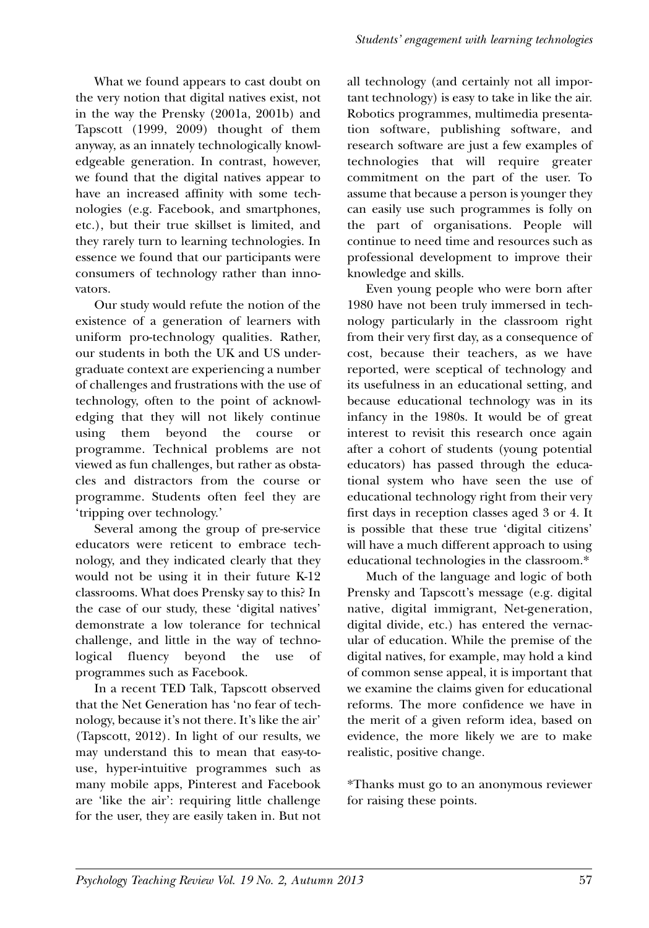What we found appears to cast doubt on the very notion that digital natives exist, not in the way the Prensky (2001a, 2001b) and Tapscott (1999, 2009) thought of them anyway, as an innately technologically knowledgeable generation. In contrast, however, we found that the digital natives appear to have an increased affinity with some technologies (e.g. Facebook, and smartphones, etc.), but their true skillset is limited, and they rarely turn to learning technologies. In essence we found that our participants were consumers of technology rather than innovators.

Our study would refute the notion of the existence of a generation of learners with uniform pro-technology qualities. Rather, our students in both the UK and US undergraduate context are experiencing a number of challenges and frustrations with the use of technology, often to the point of acknowledging that they will not likely continue using them beyond the course or programme. Technical problems are not viewed as fun challenges, but rather as obstacles and distractors from the course or programme. Students often feel they are 'tripping over technology.'

Several among the group of pre-service educators were reticent to embrace technology, and they indicated clearly that they would not be using it in their future K-12 classrooms. What does Prensky say to this? In the case of our study, these 'digital natives' demonstrate a low tolerance for technical challenge, and little in the way of technological fluency beyond the use of programmes such as Facebook.

In a recent TED Talk, Tapscott observed that the Net Generation has 'no fear of technology, because it's not there. It's like the air' (Tapscott, 2012). In light of our results, we may understand this to mean that easy-touse, hyper-intuitive programmes such as many mobile apps, Pinterest and Facebook are 'like the air': requiring little challenge for the user, they are easily taken in. But not all technology (and certainly not all important technology) is easy to take in like the air. Robotics programmes, multimedia presentation software, publishing software, and research software are just a few examples of technologies that will require greater commitment on the part of the user. To assume that because a person is younger they can easily use such programmes is folly on the part of organisations. People will continue to need time and resources such as professional development to improve their knowledge and skills.

Even young people who were born after 1980 have not been truly immersed in technology particularly in the classroom right from their very first day, as a consequence of cost, because their teachers, as we have reported, were sceptical of technology and its usefulness in an educational setting, and because educational technology was in its infancy in the 1980s. It would be of great interest to revisit this research once again after a cohort of students (young potential educators) has passed through the educational system who have seen the use of educational technology right from their very first days in reception classes aged 3 or 4. It is possible that these true 'digital citizens' will have a much different approach to using educational technologies in the classroom.\*

Much of the language and logic of both Prensky and Tapscott's message (e.g. digital native, digital immigrant, Net-generation, digital divide, etc.) has entered the vernacular of education. While the premise of the digital natives, for example, may hold a kind of common sense appeal, it is important that we examine the claims given for educational reforms. The more confidence we have in the merit of a given reform idea, based on evidence, the more likely we are to make realistic, positive change.

\*Thanks must go to an anonymous reviewer for raising these points.